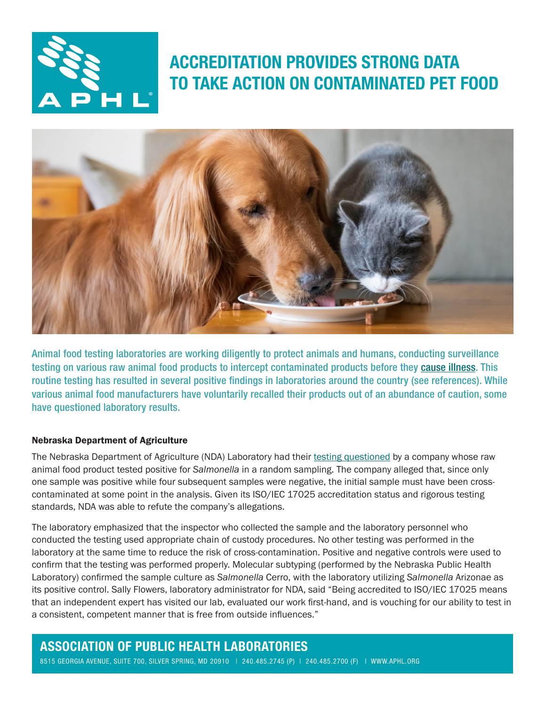

# ACCREDITATION PROVIDES STRONG DATA TO TAKE ACTION ON CONTAMINATED PET FOOD



Animal food testing laboratories are working diligently to protect animals and humans, conducting surveillance testing on various raw animal food products to intercept contaminated products before they [cause illness](https://www.aphl.org/aboutAPHL/publications/Documents/FS-2018Jun-MN-Raw-Pet-Food.pdf). This routine testing has resulted in several positive findings in laboratories around the country (see references). While various animal food manufacturers have voluntarily recalled their products out of an abundance of caution, some have questioned laboratory results.

#### Nebraska Department of Agriculture

The Nebraska Department of Agriculture (NDA) Laboratory had their [testing questioned](https://www.foodsafetynews.com/2019/01/lystn-disputes-report-of-salmonella-in-a-answers-raw-dog-food/) by a company whose raw animal food product tested positive for *Salmonella* in a random sampling. The company alleged that, since only one sample was positive while four subsequent samples were negative, the initial sample must have been crosscontaminated at some point in the analysis. Given its ISO/IEC 17025 accreditation status and rigorous testing standards, NDA was able to refute the company's allegations.

The laboratory emphasized that the inspector who collected the sample and the laboratory personnel who conducted the testing used appropriate chain of custody procedures. No other testing was performed in the laboratory at the same time to reduce the risk of cross-contamination. Positive and negative controls were used to confirm that the testing was performed properly. Molecular subtyping (performed by the Nebraska Public Health Laboratory) confirmed the sample culture as *Salmonella* Cerro, with the laboratory utilizing *Salmonella* Arizonae as its positive control. Sally Flowers, laboratory administrator for NDA, said "Being accredited to ISO/IEC 17025 means that an independent expert has visited our lab, evaluated our work first-hand, and is vouching for our ability to test in a consistent, competent manner that is free from outside influences."

## ASSOCIATION OF PUBLIC HEALTH LABORATORIES

8515 GEORGIA AVENUE, SUITE 700, SILVER SPRING, MD 20910 | 240.485.2745 (P) | 240.485.2700 (F) | [WWW.APHL.ORG](http://www.aphl.org)